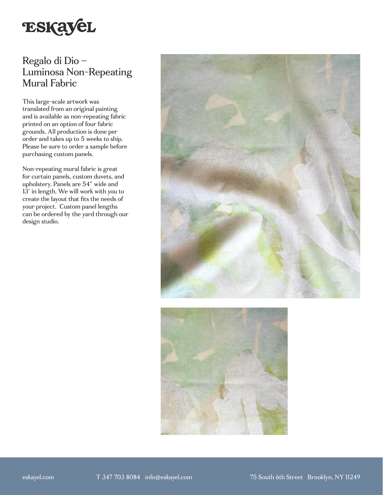

## Regalo di Dio – Luminosa Non-Repeating Mural Fabric

This large-scale artwork was translated from an original painting and is available as non-repeating fabric printed on an option of four fabric grounds. All production is done per order and takes up to 5 weeks to ship. Please be sure to order a sample before purchasing custom panels.

Non-repeating mural fabric is great for curtain panels, custom duvets, and upholstery. Panels are 54" wide and 13' in length. We will work with you to create the layout that fits the needs of your project. Custom panel lengths can be ordered by the yard through our design studio.



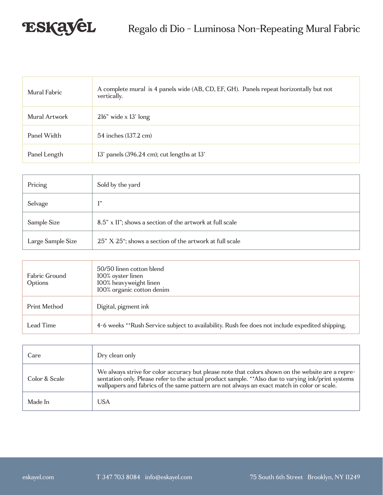

| Mural Fabric  | A complete mural is 4 panels wide (AB, CD, EF, GH). Panels repeat horizontally but not<br>vertically. |
|---------------|-------------------------------------------------------------------------------------------------------|
| Mural Artwork | $216"$ wide x 13' long                                                                                |
| Panel Width   | 54 inches (137.2 cm)                                                                                  |
| Panel Length  | 13' panels (396.24 cm); cut lengths at 13'                                                            |

| Pricing           | Sold by the yard                                         |
|-------------------|----------------------------------------------------------|
| Selvage           | 1,1                                                      |
| Sample Size       | 8.5" x 11"; shows a section of the artwork at full scale |
| Large Sample Size | 25" X 25"; shows a section of the artwork at full scale  |

| Fabric Ground<br>Options | 50/50 linen cotton blend<br>100% oyster linen<br>100% heavyweight linen<br>100% organic cotton denim |
|--------------------------|------------------------------------------------------------------------------------------------------|
| Print Method             | Digital, pigment ink                                                                                 |
| Lead Time                | 4-6 weeks **Rush Service subject to availability. Rush fee does not include expedited shipping.      |

| Care          | Dry clean only                                                                                                                                                                                                                                                                                          |
|---------------|---------------------------------------------------------------------------------------------------------------------------------------------------------------------------------------------------------------------------------------------------------------------------------------------------------|
| Color & Scale | We always strive for color accuracy but please note that colors shown on the website are a repre-<br>sentation only. Please refer to the actual product sample. ** Also due to varying ink/print systems<br>wallpapers and fabrics of the same pattern are not always an exact match in color or scale. |
| Made In       | <b>USA</b>                                                                                                                                                                                                                                                                                              |